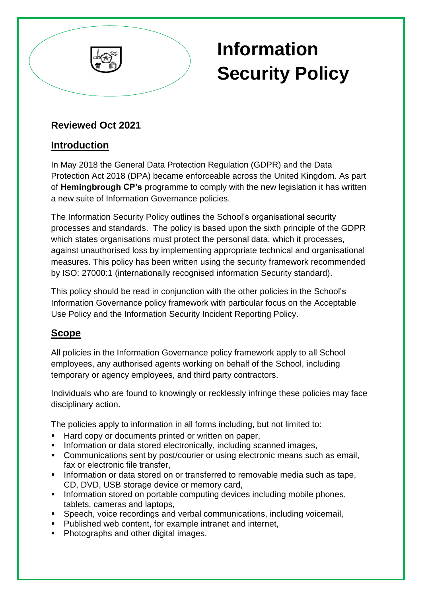

# **Information Security Policy**

# **Reviewed Oct 2021**

# **Introduction**

In May 2018 the General Data Protection Regulation (GDPR) and the Data Protection Act 2018 (DPA) became enforceable across the United Kingdom. As part of **Hemingbrough CP's** programme to comply with the new legislation it has written a new suite of Information Governance policies.

The Information Security Policy outlines the School's organisational security processes and standards. The policy is based upon the sixth principle of the GDPR which states organisations must protect the personal data, which it processes, against unauthorised loss by implementing appropriate technical and organisational measures. This policy has been written using the security framework recommended by ISO: 27000:1 (internationally recognised information Security standard).

This policy should be read in conjunction with the other policies in the School's Information Governance policy framework with particular focus on the Acceptable Use Policy and the Information Security Incident Reporting Policy.

# **Scope**

All policies in the Information Governance policy framework apply to all School employees, any authorised agents working on behalf of the School, including temporary or agency employees, and third party contractors.

Individuals who are found to knowingly or recklessly infringe these policies may face disciplinary action.

The policies apply to information in all forms including, but not limited to:

- Hard copy or documents printed or written on paper,
- **EXEDENT Information or data stored electronically, including scanned images,**
- Communications sent by post/courier or using electronic means such as email, fax or electronic file transfer,
- **EXEDEE** Information or data stored on or transferred to removable media such as tape, CD, DVD, USB storage device or memory card,
- **•** Information stored on portable computing devices including mobile phones, tablets, cameras and laptops,
- Speech, voice recordings and verbal communications, including voicemail,
- Published web content, for example intranet and internet,
- Photographs and other digital images.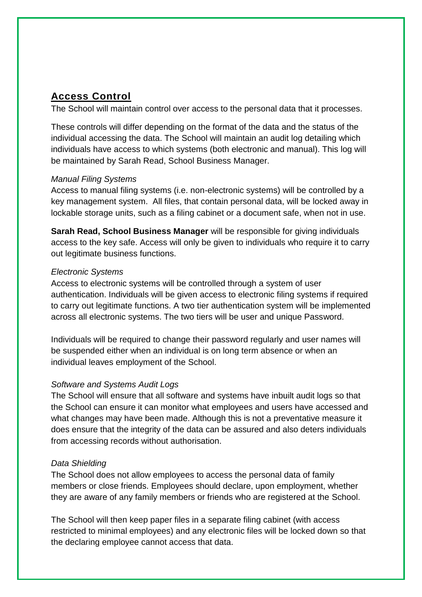# **Access Control**

The School will maintain control over access to the personal data that it processes.

These controls will differ depending on the format of the data and the status of the individual accessing the data. The School will maintain an audit log detailing which individuals have access to which systems (both electronic and manual). This log will be maintained by Sarah Read, School Business Manager.

## *Manual Filing Systems*

Access to manual filing systems (i.e. non-electronic systems) will be controlled by a key management system. All files, that contain personal data, will be locked away in lockable storage units, such as a filing cabinet or a document safe, when not in use.

**Sarah Read, School Business Manager** will be responsible for giving individuals access to the key safe. Access will only be given to individuals who require it to carry out legitimate business functions.

## *Electronic Systems*

Access to electronic systems will be controlled through a system of user authentication. Individuals will be given access to electronic filing systems if required to carry out legitimate functions. A two tier authentication system will be implemented across all electronic systems. The two tiers will be user and unique Password.

Individuals will be required to change their password regularly and user names will be suspended either when an individual is on long term absence or when an individual leaves employment of the School.

## *Software and Systems Audit Logs*

The School will ensure that all software and systems have inbuilt audit logs so that the School can ensure it can monitor what employees and users have accessed and what changes may have been made. Although this is not a preventative measure it does ensure that the integrity of the data can be assured and also deters individuals from accessing records without authorisation.

## *Data Shielding*

The School does not allow employees to access the personal data of family members or close friends. Employees should declare, upon employment, whether they are aware of any family members or friends who are registered at the School.

The School will then keep paper files in a separate filing cabinet (with access restricted to minimal employees) and any electronic files will be locked down so that the declaring employee cannot access that data.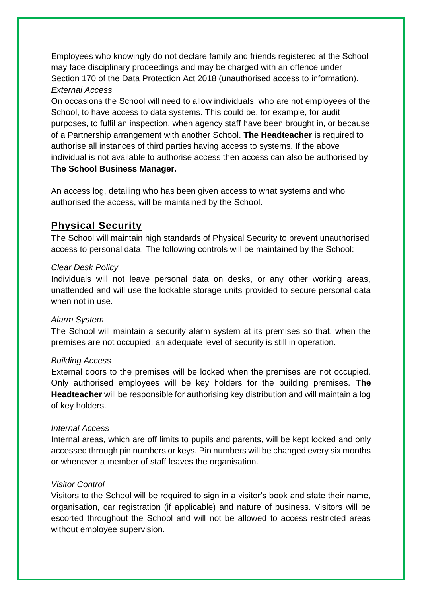Employees who knowingly do not declare family and friends registered at the School may face disciplinary proceedings and may be charged with an offence under Section 170 of the Data Protection Act 2018 (unauthorised access to information). *External Access*

On occasions the School will need to allow individuals, who are not employees of the School, to have access to data systems. This could be, for example, for audit purposes, to fulfil an inspection, when agency staff have been brought in, or because of a Partnership arrangement with another School. **The Headteacher** is required to authorise all instances of third parties having access to systems. If the above individual is not available to authorise access then access can also be authorised by **The School Business Manager.**

An access log, detailing who has been given access to what systems and who authorised the access, will be maintained by the School.

# **Physical Security**

The School will maintain high standards of Physical Security to prevent unauthorised access to personal data. The following controls will be maintained by the School:

## *Clear Desk Policy*

Individuals will not leave personal data on desks, or any other working areas, unattended and will use the lockable storage units provided to secure personal data when not in use.

## *Alarm System*

The School will maintain a security alarm system at its premises so that, when the premises are not occupied, an adequate level of security is still in operation.

## *Building Access*

External doors to the premises will be locked when the premises are not occupied. Only authorised employees will be key holders for the building premises. **The Headteacher** will be responsible for authorising key distribution and will maintain a log of key holders.

#### *Internal Access*

Internal areas, which are off limits to pupils and parents, will be kept locked and only accessed through pin numbers or keys. Pin numbers will be changed every six months or whenever a member of staff leaves the organisation.

## *Visitor Control*

Visitors to the School will be required to sign in a visitor's book and state their name, organisation, car registration (if applicable) and nature of business. Visitors will be escorted throughout the School and will not be allowed to access restricted areas without employee supervision.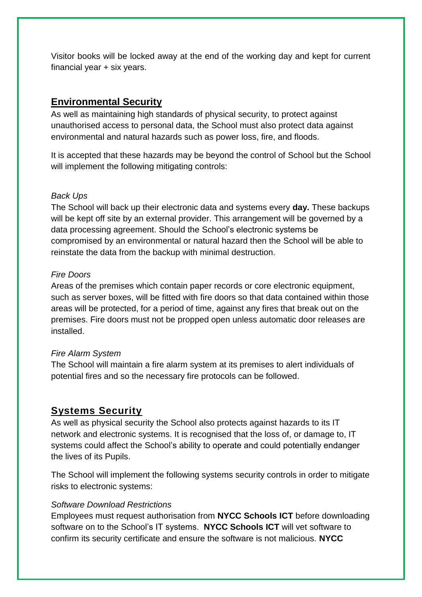Visitor books will be locked away at the end of the working day and kept for current financial year + six years.

## **Environmental Security**

As well as maintaining high standards of physical security, to protect against unauthorised access to personal data, the School must also protect data against environmental and natural hazards such as power loss, fire, and floods.

It is accepted that these hazards may be beyond the control of School but the School will implement the following mitigating controls:

## *Back Ups*

The School will back up their electronic data and systems every **day.** These backups will be kept off site by an external provider. This arrangement will be governed by a data processing agreement. Should the School's electronic systems be compromised by an environmental or natural hazard then the School will be able to reinstate the data from the backup with minimal destruction.

## *Fire Doors*

Areas of the premises which contain paper records or core electronic equipment, such as server boxes, will be fitted with fire doors so that data contained within those areas will be protected, for a period of time, against any fires that break out on the premises. Fire doors must not be propped open unless automatic door releases are installed.

## *Fire Alarm System*

The School will maintain a fire alarm system at its premises to alert individuals of potential fires and so the necessary fire protocols can be followed.

# **Systems Security**

As well as physical security the School also protects against hazards to its IT network and electronic systems. It is recognised that the loss of, or damage to, IT systems could affect the School's ability to operate and could potentially endanger the lives of its Pupils.

The School will implement the following systems security controls in order to mitigate risks to electronic systems:

## *Software Download Restrictions*

Employees must request authorisation from **NYCC Schools ICT** before downloading software on to the School's IT systems. **NYCC Schools ICT** will vet software to confirm its security certificate and ensure the software is not malicious. **NYCC**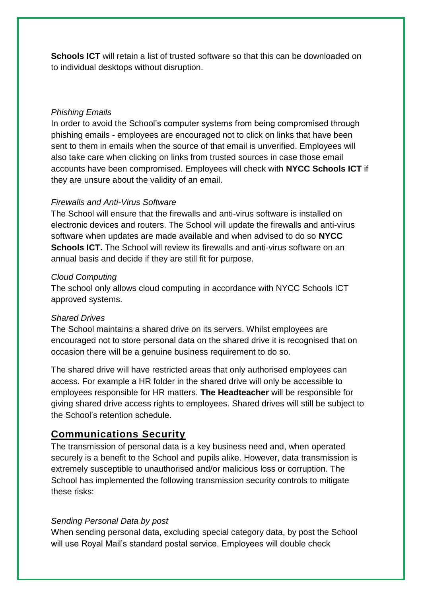**Schools ICT** will retain a list of trusted software so that this can be downloaded on to individual desktops without disruption.

## *Phishing Emails*

In order to avoid the School's computer systems from being compromised through phishing emails - employees are encouraged not to click on links that have been sent to them in emails when the source of that email is unverified. Employees will also take care when clicking on links from trusted sources in case those email accounts have been compromised. Employees will check with **NYCC Schools ICT** if they are unsure about the validity of an email.

## *Firewalls and Anti-Virus Software*

The School will ensure that the firewalls and anti-virus software is installed on electronic devices and routers. The School will update the firewalls and anti-virus software when updates are made available and when advised to do so **NYCC Schools ICT.** The School will review its firewalls and anti-virus software on an annual basis and decide if they are still fit for purpose.

#### *Cloud Computing*

The school only allows cloud computing in accordance with NYCC Schools ICT approved systems.

#### *Shared Drives*

The School maintains a shared drive on its servers. Whilst employees are encouraged not to store personal data on the shared drive it is recognised that on occasion there will be a genuine business requirement to do so.

The shared drive will have restricted areas that only authorised employees can access. For example a HR folder in the shared drive will only be accessible to employees responsible for HR matters. **The Headteacher** will be responsible for giving shared drive access rights to employees. Shared drives will still be subject to the School's retention schedule.

## **Communications Security**

The transmission of personal data is a key business need and, when operated securely is a benefit to the School and pupils alike. However, data transmission is extremely susceptible to unauthorised and/or malicious loss or corruption. The School has implemented the following transmission security controls to mitigate these risks:

#### *Sending Personal Data by post*

When sending personal data, excluding special category data, by post the School will use Royal Mail's standard postal service. Employees will double check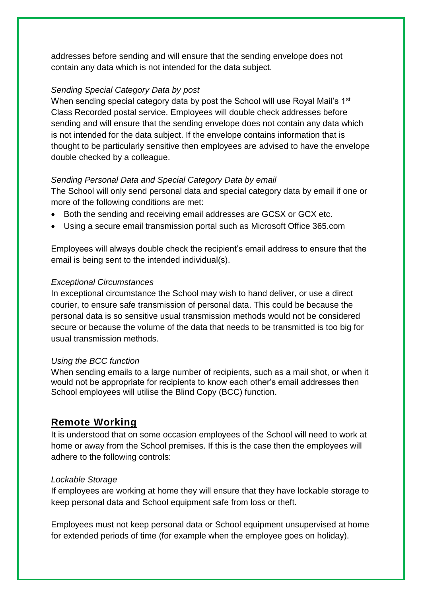addresses before sending and will ensure that the sending envelope does not contain any data which is not intended for the data subject.

## *Sending Special Category Data by post*

When sending special category data by post the School will use Royal Mail's 1<sup>st</sup> Class Recorded postal service. Employees will double check addresses before sending and will ensure that the sending envelope does not contain any data which is not intended for the data subject. If the envelope contains information that is thought to be particularly sensitive then employees are advised to have the envelope double checked by a colleague.

#### *Sending Personal Data and Special Category Data by email*

The School will only send personal data and special category data by email if one or more of the following conditions are met:

- Both the sending and receiving email addresses are GCSX or GCX etc.
- Using a secure email transmission portal such as Microsoft Office 365.com

Employees will always double check the recipient's email address to ensure that the email is being sent to the intended individual(s).

#### *Exceptional Circumstances*

In exceptional circumstance the School may wish to hand deliver, or use a direct courier, to ensure safe transmission of personal data. This could be because the personal data is so sensitive usual transmission methods would not be considered secure or because the volume of the data that needs to be transmitted is too big for usual transmission methods.

#### *Using the BCC function*

When sending emails to a large number of recipients, such as a mail shot, or when it would not be appropriate for recipients to know each other's email addresses then School employees will utilise the Blind Copy (BCC) function.

## **Remote Working**

It is understood that on some occasion employees of the School will need to work at home or away from the School premises. If this is the case then the employees will adhere to the following controls:

#### *Lockable Storage*

If employees are working at home they will ensure that they have lockable storage to keep personal data and School equipment safe from loss or theft.

Employees must not keep personal data or School equipment unsupervised at home for extended periods of time (for example when the employee goes on holiday).